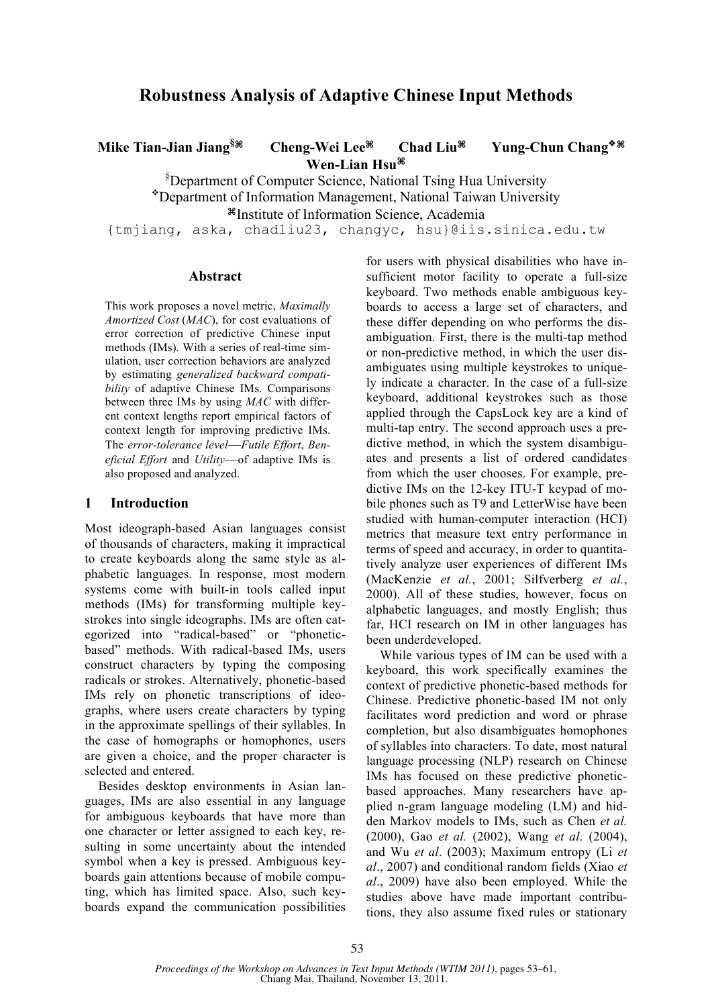# **Robustness Analysis of Adaptive Chinese Input Methods**

**Mike Tian-Jian Jiang§⌘ Cheng-Wei Lee⌘ Chad Liu⌘ Yung-Chun Chang⌘ Wen-Lian Hsu⌘**

§ Department of Computer Science, National Tsing Hua University Department of Information Management, National Taiwan University

⌘Institute of Information Science, Academia

{tmjiang, aska, chadliu23, changyc, hsu}@iis.sinica.edu.tw

#### **Abstract**

This work proposes a novel metric, *Maximally Amortized Cost* (*MAC*), for cost evaluations of error correction of predictive Chinese input methods (IMs). With a series of real-time simulation, user correction behaviors are analyzed by estimating *generalized backward compatibility* of adaptive Chinese IMs. Comparisons between three IMs by using *MAC* with different context lengths report empirical factors of context length for improving predictive IMs. The *error-tolerance level*—*Futile Effort*, *Beneficial Effort* and *Utility*—of adaptive IMs is also proposed and analyzed.

### **1 Introduction**

Most ideograph-based Asian languages consist of thousands of characters, making it impractical to create keyboards along the same style as alphabetic languages. In response, most modern systems come with built-in tools called input methods (IMs) for transforming multiple keystrokes into single ideographs. IMs are often categorized into "radical-based" or "phoneticbased" methods. With radical-based IMs, users construct characters by typing the composing radicals or strokes. Alternatively, phonetic-based IMs rely on phonetic transcriptions of ideographs, where users create characters by typing in the approximate spellings of their syllables. In the case of homographs or homophones, users are given a choice, and the proper character is selected and entered.

Besides desktop environments in Asian languages, IMs are also essential in any language for ambiguous keyboards that have more than one character or letter assigned to each key, resulting in some uncertainty about the intended symbol when a key is pressed. Ambiguous keyboards gain attentions because of mobile computing, which has limited space. Also, such keyboards expand the communication possibilities

for users with physical disabilities who have insufficient motor facility to operate a full-size keyboard. Two methods enable ambiguous keyboards to access a large set of characters, and these differ depending on who performs the disambiguation. First, there is the multi-tap method or non-predictive method, in which the user disambiguates using multiple keystrokes to uniquely indicate a character. In the case of a full-size keyboard, additional keystrokes such as those applied through the CapsLock key are a kind of multi-tap entry. The second approach uses a predictive method, in which the system disambiguates and presents a list of ordered candidates from which the user chooses. For example, predictive IMs on the 12-key ITU-T keypad of mobile phones such as T9 and LetterWise have been studied with human-computer interaction (HCI) metrics that measure text entry performance in terms of speed and accuracy, in order to quantitatively analyze user experiences of different IMs (MacKenzie *et al.*, 2001; Silfverberg *et al.*, 2000). All of these studies, however, focus on alphabetic languages, and mostly English; thus far, HCI research on IM in other languages has been underdeveloped.

While various types of IM can be used with a keyboard, this work specifically examines the context of predictive phonetic-based methods for Chinese. Predictive phonetic-based IM not only facilitates word prediction and word or phrase completion, but also disambiguates homophones of syllables into characters. To date, most natural language processing (NLP) research on Chinese IMs has focused on these predictive phoneticbased approaches. Many researchers have applied n-gram language modeling (LM) and hidden Markov models to IMs, such as Chen *et al.* (2000), Gao *et al.* (2002), Wang *et al*. (2004), and Wu *et al*. (2003); Maximum entropy (Li *et al*., 2007) and conditional random fields (Xiao *et al*., 2009) have also been employed. While the studies above have made important contributions, they also assume fixed rules or stationary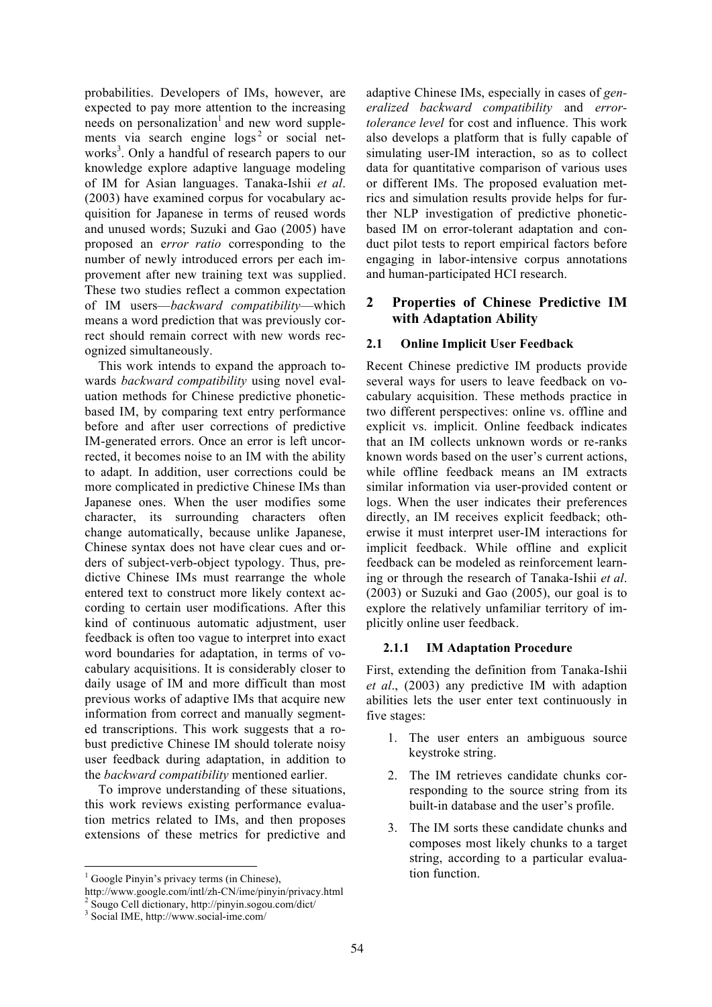probabilities. Developers of IMs, however, are expected to pay more attention to the increasing needs on personalization<sup>1</sup> and new word supplements via search engine  $\log s^2$  or social networks<sup>3</sup>. Only a handful of research papers to our knowledge explore adaptive language modeling of IM for Asian languages. Tanaka-Ishii *et al*. (2003) have examined corpus for vocabulary acquisition for Japanese in terms of reused words and unused words; Suzuki and Gao (2005) have proposed an e*rror ratio* corresponding to the number of newly introduced errors per each improvement after new training text was supplied. These two studies reflect a common expectation of IM users—*backward compatibility*—which means a word prediction that was previously correct should remain correct with new words recognized simultaneously.

This work intends to expand the approach towards *backward compatibility* using novel evaluation methods for Chinese predictive phoneticbased IM, by comparing text entry performance before and after user corrections of predictive IM-generated errors. Once an error is left uncorrected, it becomes noise to an IM with the ability to adapt. In addition, user corrections could be more complicated in predictive Chinese IMs than Japanese ones. When the user modifies some character, its surrounding characters often change automatically, because unlike Japanese, Chinese syntax does not have clear cues and orders of subject-verb-object typology. Thus, predictive Chinese IMs must rearrange the whole entered text to construct more likely context according to certain user modifications. After this kind of continuous automatic adjustment, user feedback is often too vague to interpret into exact word boundaries for adaptation, in terms of vocabulary acquisitions. It is considerably closer to daily usage of IM and more difficult than most previous works of adaptive IMs that acquire new information from correct and manually segmented transcriptions. This work suggests that a robust predictive Chinese IM should tolerate noisy user feedback during adaptation, in addition to the *backward compatibility* mentioned earlier.

To improve understanding of these situations, this work reviews existing performance evaluation metrics related to IMs, and then proposes extensions of these metrics for predictive and adaptive Chinese IMs, especially in cases of *generalized backward compatibility* and *errortolerance level* for cost and influence. This work also develops a platform that is fully capable of simulating user-IM interaction, so as to collect data for quantitative comparison of various uses or different IMs. The proposed evaluation metrics and simulation results provide helps for further NLP investigation of predictive phoneticbased IM on error-tolerant adaptation and conduct pilot tests to report empirical factors before engaging in labor-intensive corpus annotations and human-participated HCI research.

# **2 Properties of Chinese Predictive IM with Adaptation Ability**

# **2.1 Online Implicit User Feedback**

Recent Chinese predictive IM products provide several ways for users to leave feedback on vocabulary acquisition. These methods practice in two different perspectives: online vs. offline and explicit vs. implicit. Online feedback indicates that an IM collects unknown words or re-ranks known words based on the user's current actions, while offline feedback means an IM extracts similar information via user-provided content or logs. When the user indicates their preferences directly, an IM receives explicit feedback; otherwise it must interpret user-IM interactions for implicit feedback. While offline and explicit feedback can be modeled as reinforcement learning or through the research of Tanaka-Ishii *et al*. (2003) or Suzuki and Gao (2005), our goal is to explore the relatively unfamiliar territory of implicitly online user feedback.

# **2.1.1 IM Adaptation Procedure**

First, extending the definition from Tanaka-Ishii *et al*., (2003) any predictive IM with adaption abilities lets the user enter text continuously in five stages:

- 1. The user enters an ambiguous source keystroke string.
- 2. The IM retrieves candidate chunks corresponding to the source string from its built-in database and the user's profile.
- 3. The IM sorts these candidate chunks and composes most likely chunks to a target string, according to a particular evaluation function.

<sup>&</sup>lt;sup>1</sup> Google Pinyin's privacy terms (in Chinese),

http://www.google.com/intl/zh-CN/ime/pinyin/privacy.html <sup>2</sup> Sougo Cell dictionary, http://pinyin.sogou.com/dict/ <sup>3</sup> Social IME, http://www.social-ime.com/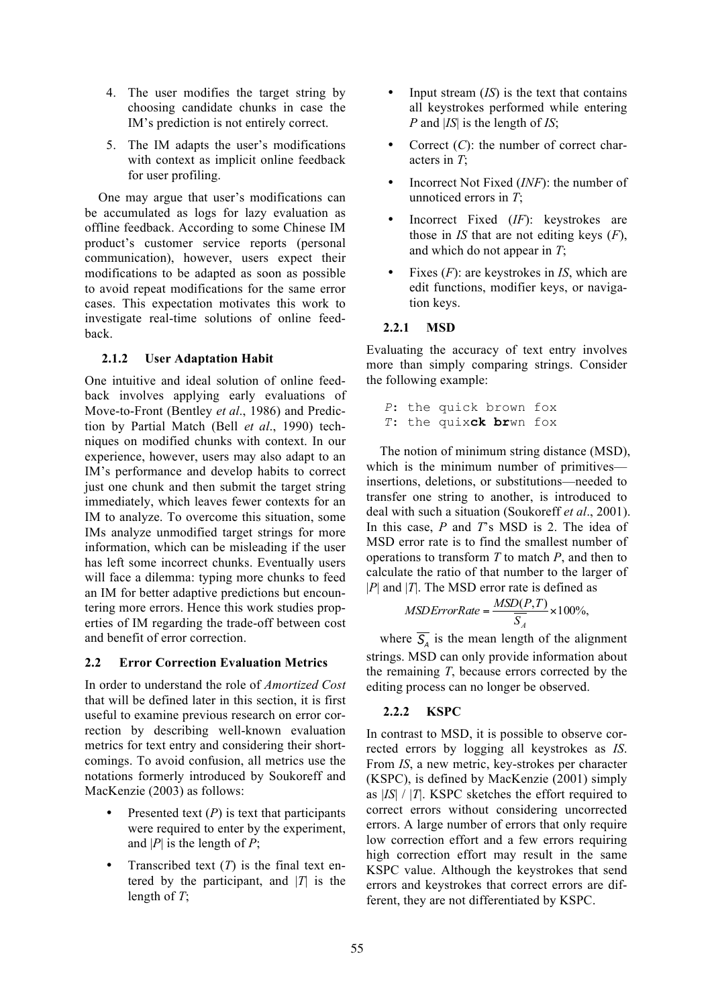- 4. The user modifies the target string by choosing candidate chunks in case the IM's prediction is not entirely correct.
- 5. The IM adapts the user's modifications with context as implicit online feedback for user profiling.

One may argue that user's modifications can be accumulated as logs for lazy evaluation as offline feedback. According to some Chinese IM product's customer service reports (personal communication), however, users expect their modifications to be adapted as soon as possible to avoid repeat modifications for the same error cases. This expectation motivates this work to investigate real-time solutions of online feedback.

## **2.1.2 User Adaptation Habit**

One intuitive and ideal solution of online feedback involves applying early evaluations of Move-to-Front (Bentley *et al*., 1986) and Prediction by Partial Match (Bell *et al*., 1990) techniques on modified chunks with context. In our experience, however, users may also adapt to an IM's performance and develop habits to correct just one chunk and then submit the target string immediately, which leaves fewer contexts for an IM to analyze. To overcome this situation, some IMs analyze unmodified target strings for more information, which can be misleading if the user has left some incorrect chunks. Eventually users will face a dilemma: typing more chunks to feed an IM for better adaptive predictions but encountering more errors. Hence this work studies properties of IM regarding the trade-off between cost and benefit of error correction.

### **2.2 Error Correction Evaluation Metrics**

In order to understand the role of *Amortized Cost* that will be defined later in this section, it is first useful to examine previous research on error correction by describing well-known evaluation metrics for text entry and considering their shortcomings. To avoid confusion, all metrics use the notations formerly introduced by Soukoreff and MacKenzie (2003) as follows:

- Presented text  $(P)$  is text that participants were required to enter by the experiment, and  $|P|$  is the length of  $P$ ;
- Transcribed text (*T*) is the final text entered by the participant, and  $|T|$  is the length of *T*;
- Input stream (*IS*) is the text that contains all keystrokes performed while entering *P* and |*IS*| is the length of *IS*;
- Correct (*C*): the number of correct characters in *T*;
- Incorrect Not Fixed (*INF*): the number of unnoticed errors in *T*;
- Incorrect Fixed (*IF*): keystrokes are those in *IS* that are not editing keys (*F*), and which do not appear in *T*;
- Fixes (*F*): are keystrokes in *IS*, which are edit functions, modifier keys, or navigation keys.

## **2.2.1 MSD**

Evaluating the accuracy of text entry involves more than simply comparing strings. Consider the following example:

```
P: the quick brown fox
T: the quixck brwn fox
```
The notion of minimum string distance (MSD), which is the minimum number of primitives insertions, deletions, or substitutions—needed to transfer one string to another, is introduced to deal with such a situation (Soukoreff *et al*., 2001). In this case, *P* and *T*'s MSD is 2. The idea of MSD error rate is to find the smallest number of operations to transform *T* to match *P*, and then to calculate the ratio of that number to the larger of |*P*| and |*T*|. The MSD error rate is defined as

$$
MSDErrorRate = \frac{MSD(P,T)}{\overline{S_A}} \times 100\%,
$$

where  $\overline{S_A}$  is the mean length of the alignment strings. MSD can only provide information about the remaining *T*, because errors corrected by the editing process can no longer be observed.

## **2.2.2 KSPC**

In contrast to MSD, it is possible to observe corrected errors by logging all keystrokes as *IS*. From *IS*, a new metric, key-strokes per character (KSPC), is defined by MacKenzie (2001) simply as |*IS*| / |*T*|. KSPC sketches the effort required to correct errors without considering uncorrected errors. A large number of errors that only require low correction effort and a few errors requiring high correction effort may result in the same KSPC value. Although the keystrokes that send errors and keystrokes that correct errors are different, they are not differentiated by KSPC.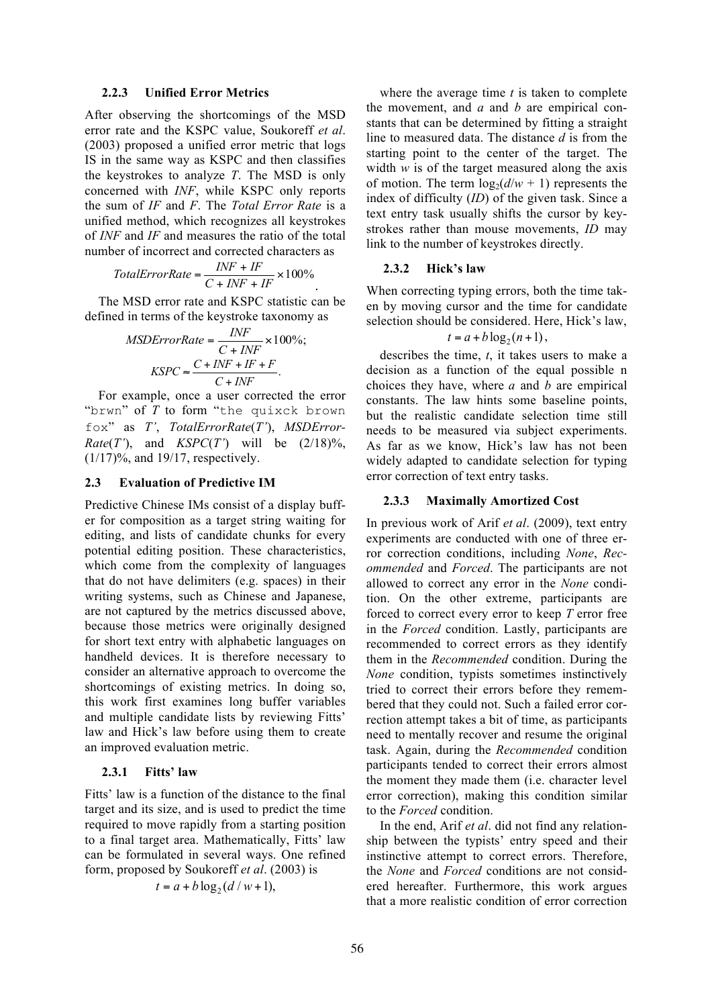#### **2.2.3 Unified Error Metrics**

After observing the shortcomings of the MSD error rate and the KSPC value, Soukoreff *et al*. (2003) proposed a unified error metric that logs IS in the same way as KSPC and then classifies the keystrokes to analyze *T*. The MSD is only concerned with *INF*, while KSPC only reports the sum of *IF* and *F*. The *Total Error Rate* is a unified method, which recognizes all keystrokes of *INF* and *IF* and measures the ratio of the total number of incorrect and corrected characters as

$$
TotalErrorRate = \frac{INF + IF}{C + INF + IF} \times 100\%
$$

The MSD error rate and KSPC statistic can be defined in terms of the keystroke taxonomy as

$$
MSDErrorRate = \frac{INF}{C + INF} \times 100\%;
$$

$$
KSPC \approx \frac{C + INF + IF + F}{C + INF}.
$$

For example, once a user corrected the error "brwn" of *T* to form "the quixck brown fox" as *T'*, *TotalErrorRate*(*T'*), *MSDError-Rate*(*T'*), and *KSPC*(*T'*) will be  $(2/18)%$ , (1/17)%, and 19/17, respectively.

#### **2.3 Evaluation of Predictive IM**

Predictive Chinese IMs consist of a display buffer for composition as a target string waiting for editing, and lists of candidate chunks for every potential editing position. These characteristics, which come from the complexity of languages that do not have delimiters (e.g. spaces) in their writing systems, such as Chinese and Japanese, are not captured by the metrics discussed above, because those metrics were originally designed for short text entry with alphabetic languages on handheld devices. It is therefore necessary to consider an alternative approach to overcome the shortcomings of existing metrics. In doing so, this work first examines long buffer variables and multiple candidate lists by reviewing Fitts' law and Hick's law before using them to create an improved evaluation metric.

#### **2.3.1 Fitts' law**

Fitts' law is a function of the distance to the final target and its size, and is used to predict the time required to move rapidly from a starting position to a final target area. Mathematically, Fitts' law can be formulated in several ways. One refined form, proposed by Soukoreff *et al*. (2003) is

$$
t = a + b \log_2 (d/w + 1),
$$

where the average time *t* is taken to complete the movement, and *a* and *b* are empirical constants that can be determined by fitting a straight line to measured data. The distance *d* is from the starting point to the center of the target. The width  $w$  is of the target measured along the axis of motion. The term  $log_2(d/w + 1)$  represents the index of difficulty (*ID*) of the given task. Since a text entry task usually shifts the cursor by keystrokes rather than mouse movements, *ID* may link to the number of keystrokes directly.

### **2.3.2 Hick's law**

When correcting typing errors, both the time taken by moving cursor and the time for candidate selection should be considered. Here, Hick's law,

### $t = a + b \log_2(n+1)$ ,

describes the time, *t*, it takes users to make a decision as a function of the equal possible n choices they have, where *a* and *b* are empirical constants. The law hints some baseline points, but the realistic candidate selection time still needs to be measured via subject experiments. As far as we know, Hick's law has not been widely adapted to candidate selection for typing error correction of text entry tasks.

#### **2.3.3 Maximally Amortized Cost**

In previous work of Arif *et al*. (2009), text entry experiments are conducted with one of three error correction conditions, including *None*, *Recommended* and *Forced*. The participants are not allowed to correct any error in the *None* condition. On the other extreme, participants are forced to correct every error to keep *T* error free in the *Forced* condition. Lastly, participants are recommended to correct errors as they identify them in the *Recommended* condition. During the *None* condition, typists sometimes instinctively tried to correct their errors before they remembered that they could not. Such a failed error correction attempt takes a bit of time, as participants need to mentally recover and resume the original task. Again, during the *Recommended* condition participants tended to correct their errors almost the moment they made them (i.e. character level error correction), making this condition similar to the *Forced* condition.

In the end, Arif *et al*. did not find any relationship between the typists' entry speed and their instinctive attempt to correct errors. Therefore, the *None* and *Forced* conditions are not considered hereafter. Furthermore, this work argues that a more realistic condition of error correction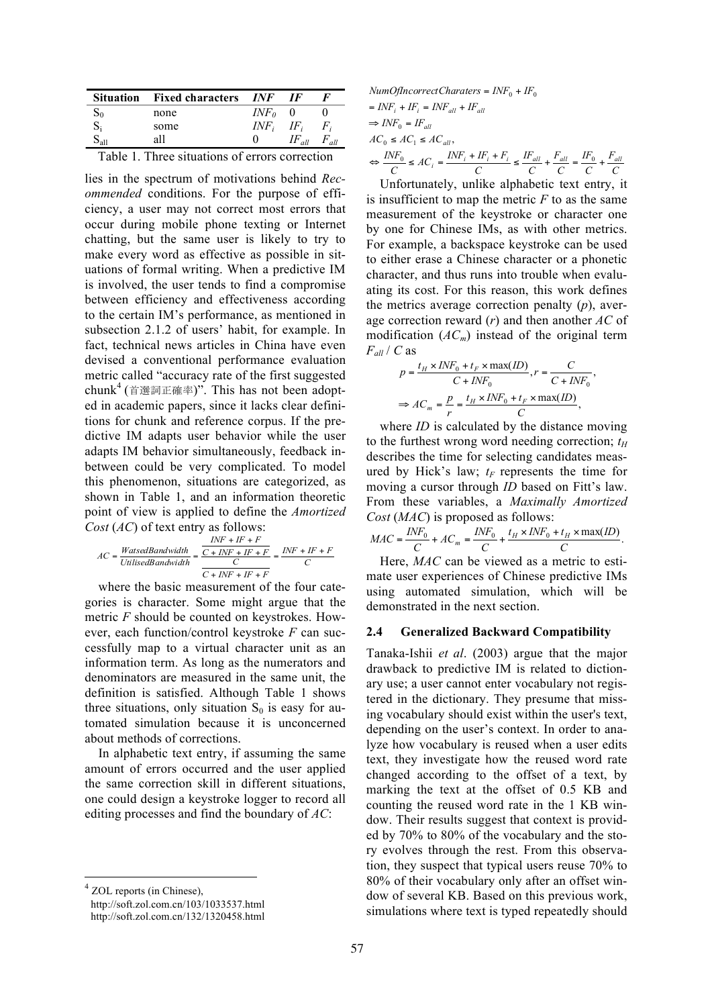|    | <b>Situation</b> Fixed characters | INF     | IF         |       |
|----|-----------------------------------|---------|------------|-------|
| Σ0 | none                              | $INF_0$ |            |       |
|    | some                              | $INF_i$ | IF.        | $F_i$ |
|    | all                               |         | IF.<br>all | all   |

lies in the spectrum of motivations behind *Recommended* conditions. For the purpose of efficiency, a user may not correct most errors that occur during mobile phone texting or Internet chatting, but the same user is likely to try to make every word as effective as possible in situations of formal writing. When a predictive IM is involved, the user tends to find a compromise between efficiency and effectiveness according to the certain IM's performance, as mentioned in subsection 2.1.2 of users' habit, for example. In fact, technical news articles in China have even devised a conventional performance evaluation metric called "accuracy rate of the first suggested chunk<sup>4</sup> (首選詞正確率)". This has not been adopted in academic papers, since it lacks clear definitions for chunk and reference corpus. If the predictive IM adapts user behavior while the user adapts IM behavior simultaneously, feedback inbetween could be very complicated. To model this phenomenon, situations are categorized, as shown in Table 1, and an information theoretic point of view is applied to define the *Amortized Cost* (*AC*) of text entry as follows:

$$
AC = \frac{WatsedBandwidth}{Utilised Bandwidth} = \frac{\frac{INF + IF + F}{C + INF + IF + F}}{\frac{C}{C + INF + IF + F}} = \frac{INF + IF + F}{C}
$$

where the basic measurement of the four categories is character. Some might argue that the metric *F* should be counted on keystrokes. However, each function/control keystroke *F* can successfully map to a virtual character unit as an information term. As long as the numerators and denominators are measured in the same unit, the definition is satisfied. Although Table 1 shows three situations, only situation  $S_0$  is easy for automated simulation because it is unconcerned about methods of corrections.

In alphabetic text entry, if assuming the same amount of errors occurred and the user applied the same correction skill in different situations, one could design a keystroke logger to record all editing processes and find the boundary of *AC*:

$$
NumOfIncorrectCharacters = INF0 + IF0
$$
  
=  $INFi + IFi = INFall + IFall$   

$$
\Rightarrow INF0 = IFall
$$
  
 $AC0 \le AC1 \le ACall,$   

$$
\Leftrightarrow \frac{INF0}{C} \le ACi = \frac{INFi + IFi + Fi}{C} \le \frac{IFall}{C} + \frac{Fall}{C} = \frac{IF0}{C} + \frac{Fall}{C}
$$

Unfortunately, unlike alphabetic text entry, it is insufficient to map the metric *F* to as the same measurement of the keystroke or character one by one for Chinese IMs, as with other metrics. For example, a backspace keystroke can be used to either erase a Chinese character or a phonetic character, and thus runs into trouble when evaluating its cost. For this reason, this work defines the metrics average correction penalty (*p*), average correction reward (*r*) and then another *AC* of modification (*ACm*) instead of the original term  $F_{all}$  / *C* as

$$
p = \frac{t_H \times INF_0 + t_F \times \max(ID)}{C + INF_0}, r = \frac{C}{C + INF_0},
$$
  

$$
\Rightarrow AC_m = \frac{p}{r} = \frac{t_H \times INF_0 + t_F \times \max(ID)}{C},
$$

where *ID* is calculated by the distance moving to the furthest wrong word needing correction;  $t_H$ describes the time for selecting candidates measured by Hick's law;  $t_F$  represents the time for moving a cursor through *ID* based on Fitt's law. From these variables, a *Maximally Amortized Cost* (*MAC*) is proposed as follows:

$$
MAC = \frac{INF_0}{C} + AC_m = \frac{INF_0}{C} + \frac{t_H \times INF_0 + t_H \times \max(ID)}{C}.
$$

Here, *MAC* can be viewed as a metric to estimate user experiences of Chinese predictive IMs using automated simulation, which will be demonstrated in the next section.

#### **2.4 Generalized Backward Compatibility**

Tanaka-Ishii *et al*. (2003) argue that the major drawback to predictive IM is related to dictionary use; a user cannot enter vocabulary not registered in the dictionary. They presume that missing vocabulary should exist within the user's text, depending on the user's context. In order to analyze how vocabulary is reused when a user edits text, they investigate how the reused word rate changed according to the offset of a text, by marking the text at the offset of 0.5 KB and counting the reused word rate in the 1 KB window. Their results suggest that context is provided by 70% to 80% of the vocabulary and the story evolves through the rest. From this observation, they suspect that typical users reuse 70% to 80% of their vocabulary only after an offset window of several KB. Based on this previous work, simulations where text is typed repeatedly should

<sup>&</sup>lt;sup>4</sup> ZOL reports (in Chinese),

http://soft.zol.com.cn/103/1033537.html http://soft.zol.com.cn/132/1320458.html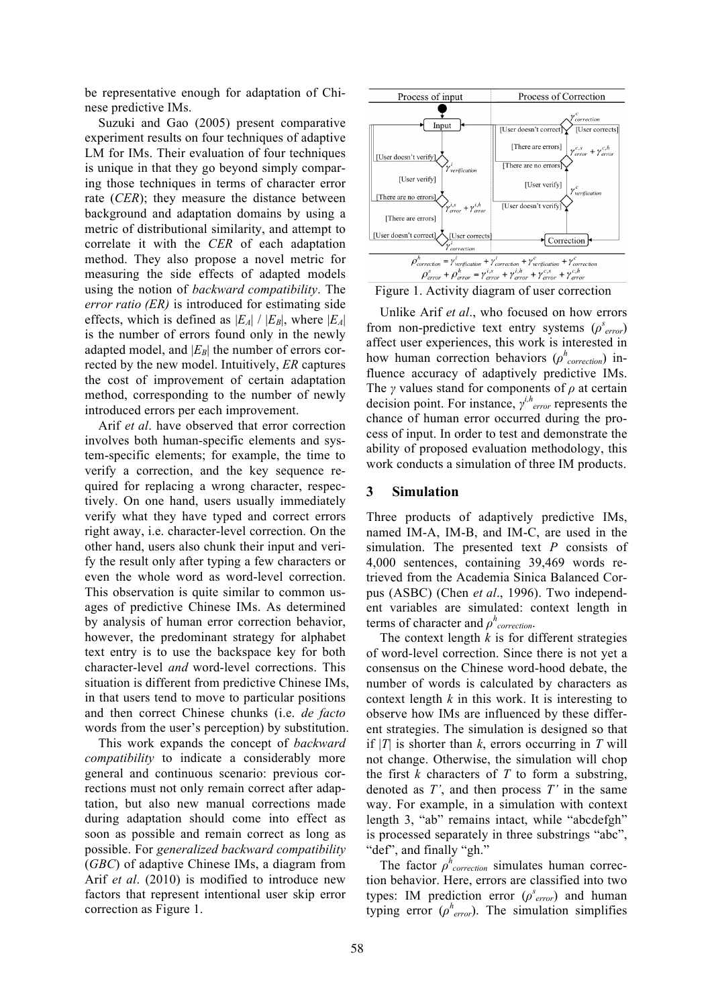be representative enough for adaptation of Chinese predictive IMs.

Suzuki and Gao (2005) present comparative experiment results on four techniques of adaptive LM for IMs. Their evaluation of four techniques is unique in that they go beyond simply comparing those techniques in terms of character error rate (*CER*); they measure the distance between background and adaptation domains by using a metric of distributional similarity, and attempt to correlate it with the *CER* of each adaptation method. They also propose a novel metric for measuring the side effects of adapted models using the notion of *backward compatibility*. The *error ratio (ER)* is introduced for estimating side effects, which is defined as  $|E_A| / |E_B|$ , where  $|E_A|$ is the number of errors found only in the newly adapted model, and  $|E_B|$  the number of errors corrected by the new model. Intuitively, *ER* captures the cost of improvement of certain adaptation method, corresponding to the number of newly introduced errors per each improvement.

Arif *et al*. have observed that error correction involves both human-specific elements and system-specific elements; for example, the time to verify a correction, and the key sequence required for replacing a wrong character, respectively. On one hand, users usually immediately verify what they have typed and correct errors right away, i.e. character-level correction. On the other hand, users also chunk their input and verify the result only after typing a few characters or even the whole word as word-level correction. This observation is quite similar to common usages of predictive Chinese IMs. As determined by analysis of human error correction behavior, however, the predominant strategy for alphabet text entry is to use the backspace key for both character-level *and* word-level corrections. This situation is different from predictive Chinese IMs, in that users tend to move to particular positions and then correct Chinese chunks (i.e. *de facto* words from the user's perception) by substitution.

This work expands the concept of *backward compatibility* to indicate a considerably more general and continuous scenario: previous corrections must not only remain correct after adaptation, but also new manual corrections made during adaptation should come into effect as soon as possible and remain correct as long as possible. For *generalized backward compatibility* (*GBC*) of adaptive Chinese IMs, a diagram from Arif *et al*. (2010) is modified to introduce new factors that represent intentional user skip error correction as Figure 1.



Figure 1. Activity diagram of user correction

Unlike Arif *et al*., who focused on how errors from non-predictive text entry systems  $(\rho^{s}_{error})$ affect user experiences, this work is interested in how human correction behaviors  $(\rho^h_{correction})$  influence accuracy of adaptively predictive IMs. The *γ* values stand for components of *ρ* at certain decision point. For instance, *γ i,herror* represents the chance of human error occurred during the process of input. In order to test and demonstrate the ability of proposed evaluation methodology, this work conducts a simulation of three IM products.

## **3 Simulation**

Three products of adaptively predictive IMs, named IM-A, IM-B, and IM-C, are used in the simulation. The presented text *P* consists of 4,000 sentences, containing 39,469 words retrieved from the Academia Sinica Balanced Corpus (ASBC) (Chen *et al*., 1996). Two independent variables are simulated: context length in terms of character and *ρ h correction*.

The context length  $k$  is for different strategies of word-level correction. Since there is not yet a consensus on the Chinese word-hood debate, the number of words is calculated by characters as context length *k* in this work. It is interesting to observe how IMs are influenced by these different strategies. The simulation is designed so that if  $|T|$  is shorter than *k*, errors occurring in *T* will not change. Otherwise, the simulation will chop the first *k* characters of *T* to form a substring, denoted as *T'*, and then process *T'* in the same way. For example, in a simulation with context length 3, "ab" remains intact, while "abcdefgh" is processed separately in three substrings "abc", "def", and finally "gh."

The factor  $\rho^h$ <sub>correction</sub> simulates human correction behavior. Here, errors are classified into two types: IM prediction error  $(\rho<sup>s</sup><sub>error</sub>)$  and human typing error  $(\rho^h_{error})$ . The simulation simplifies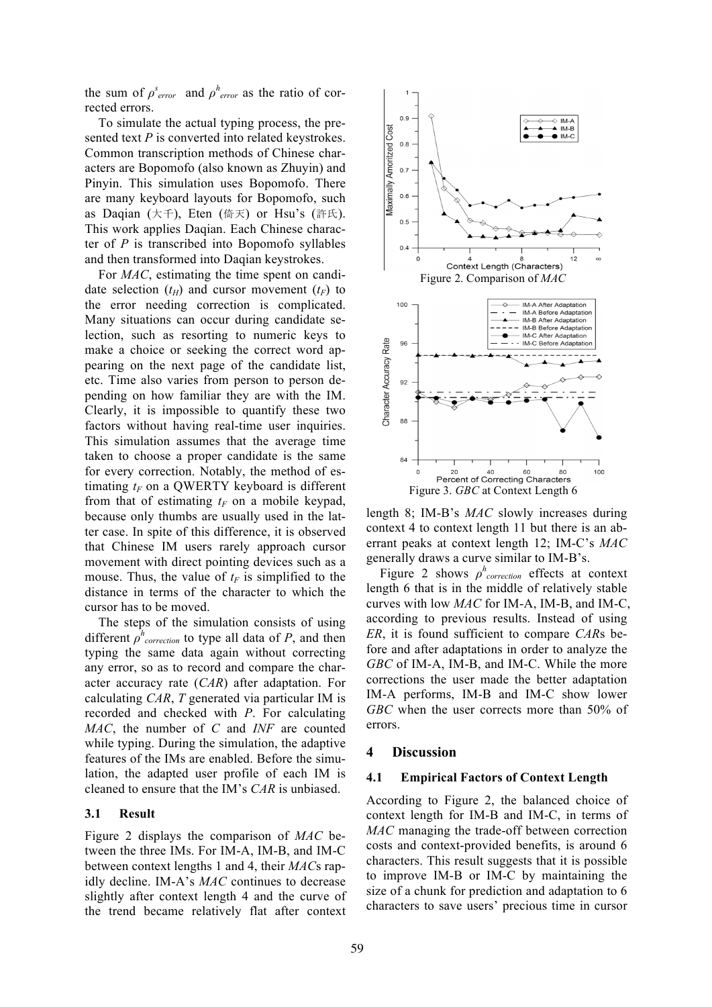the sum of  $\rho^{s}$ <sub>error</sub> and  $\rho^{h}$ <sub>error</sub> as the ratio of corrected errors.

To simulate the actual typing process, the presented text *P* is converted into related keystrokes. Common transcription methods of Chinese characters are Bopomofo (also known as Zhuyin) and Pinyin. This simulation uses Bopomofo. There are many keyboard layouts for Bopomofo, such as Daqian (大千), Eten (倚天) or Hsu's (許氏). This work applies Daqian. Each Chinese character of *P* is transcribed into Bopomofo syllables and then transformed into Daqian keystrokes.

For *MAC*, estimating the time spent on candidate selection  $(t_H)$  and cursor movement  $(t_F)$  to the error needing correction is complicated. Many situations can occur during candidate selection, such as resorting to numeric keys to make a choice or seeking the correct word appearing on the next page of the candidate list, etc. Time also varies from person to person depending on how familiar they are with the IM. Clearly, it is impossible to quantify these two factors without having real-time user inquiries. This simulation assumes that the average time taken to choose a proper candidate is the same for every correction. Notably, the method of estimating  $t_F$  on a QWERTY keyboard is different from that of estimating  $t_F$  on a mobile keypad, because only thumbs are usually used in the latter case. In spite of this difference, it is observed that Chinese IM users rarely approach cursor movement with direct pointing devices such as a mouse. Thus, the value of  $t_F$  is simplified to the distance in terms of the character to which the cursor has to be moved.

The steps of the simulation consists of using different  $\rho^h$ <sub>correction</sub> to type all data of *P*, and then typing the same data again without correcting any error, so as to record and compare the character accuracy rate (*CAR*) after adaptation. For calculating *CAR*, *T* generated via particular IM is recorded and checked with *P*. For calculating *MAC*, the number of *C* and *INF* are counted while typing. During the simulation, the adaptive features of the IMs are enabled. Before the simulation, the adapted user profile of each IM is cleaned to ensure that the IM's *CAR* is unbiased.

### **3.1 Result**

Figure 2 displays the comparison of *MAC* between the three IMs. For IM-A, IM-B, and IM-C between context lengths 1 and 4, their *MAC*s rapidly decline. IM-A's *MAC* continues to decrease slightly after context length 4 and the curve of the trend became relatively flat after context



length 8; IM-B's *MAC* slowly increases during context 4 to context length 11 but there is an aberrant peaks at context length 12; IM-C's *MAC* generally draws a curve similar to IM-B's.

Figure 2 shows  $\rho^h$ <sub>correction</sub> effects at context length 6 that is in the middle of relatively stable curves with low *MAC* for IM-A, IM-B, and IM-C, according to previous results. Instead of using *ER*, it is found sufficient to compare *CAR*s before and after adaptations in order to analyze the *GBC* of IM-A, IM-B, and IM-C. While the more corrections the user made the better adaptation IM-A performs, IM-B and IM-C show lower *GBC* when the user corrects more than 50% of errors.

#### **4 Discussion**

#### **4.1 Empirical Factors of Context Length**

According to Figure 2, the balanced choice of context length for IM-B and IM-C, in terms of *MAC* managing the trade-off between correction costs and context-provided benefits, is around 6 characters. This result suggests that it is possible to improve IM-B or IM-C by maintaining the size of a chunk for prediction and adaptation to 6 characters to save users' precious time in cursor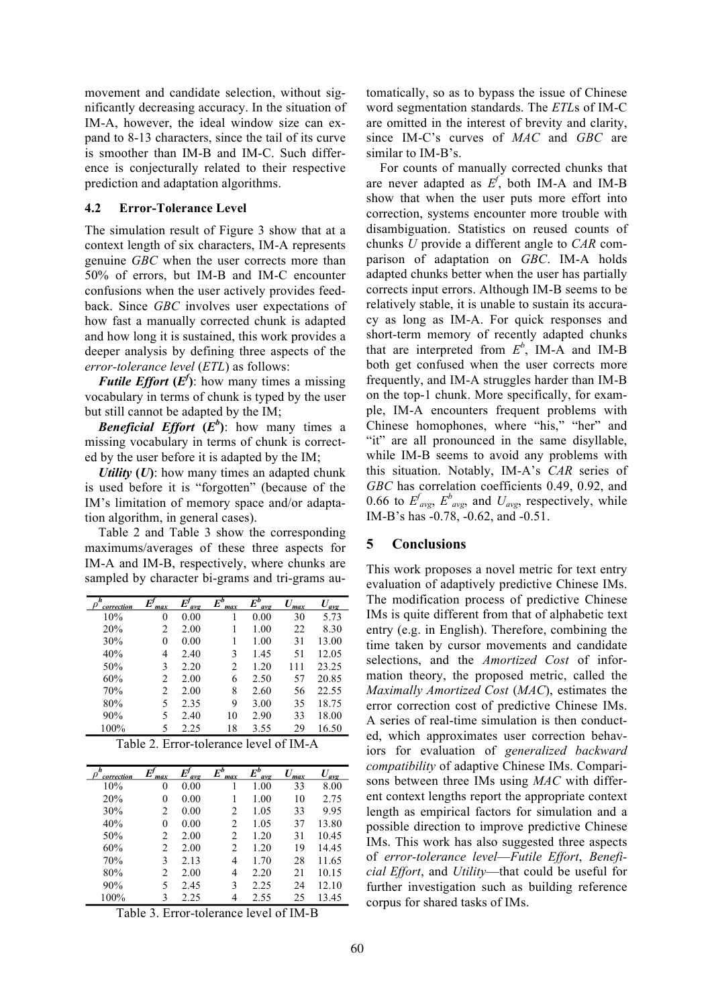movement and candidate selection, without significantly decreasing accuracy. In the situation of IM-A, however, the ideal window size can expand to 8-13 characters, since the tail of its curve is smoother than IM-B and IM-C. Such difference is conjecturally related to their respective prediction and adaptation algorithms.

#### **4.2 Error-Tolerance Level**

The simulation result of Figure 3 show that at a context length of six characters, IM-A represents genuine *GBC* when the user corrects more than 50% of errors, but IM-B and IM-C encounter confusions when the user actively provides feedback. Since *GBC* involves user expectations of how fast a manually corrected chunk is adapted and how long it is sustained, this work provides a deeper analysis by defining three aspects of the *error-tolerance level* (*ETL*) as follows:

*Futile Effort*  $(E^f)$ : how many times a missing vocabulary in terms of chunk is typed by the user but still cannot be adapted by the IM;

*Beneficial Effort*  $(E^b)$ : how many times a missing vocabulary in terms of chunk is corrected by the user before it is adapted by the IM;

*Utility*  $(U)$ : how many times an adapted chunk is used before it is "forgotten" (because of the IM's limitation of memory space and/or adaptation algorithm, in general cases).

Table 2 and Table 3 show the corresponding maximums/averages of these three aspects for IM-A and IM-B, respectively, where chunks are sampled by character bi-grams and tri-grams au-

| h<br>correction | max | E<br>avo | $E^b$<br>max | $E^b$<br>avg | $\bm{\mathit{II}}$<br>max | avo   |
|-----------------|-----|----------|--------------|--------------|---------------------------|-------|
| 10%             | 0   | 0.00     |              | 0.00         | 30                        | 5.73  |
| 20%             | 2   | 2.00     |              | 1.00         | 22                        | 8.30  |
| 30%             | 0   | 0.00     |              | 1.00         | 31                        | 13.00 |
| 40%             | 4   | 2.40     | 3            | 1.45         | 51                        | 12.05 |
| 50%             | 3   | 2.20     | 2            | 1.20         | 111                       | 23.25 |
| 60%             | 2   | 2.00     | 6            | 2.50         | 57                        | 20.85 |
| 70%             | 2   | 2.00     | 8            | 2.60         | 56                        | 22.55 |
| 80%             | 5   | 2.35     | 9            | 3.00         | 35                        | 18.75 |
| 90%             | 5   | 2.40     | 10           | 2.90         | 33                        | 18.00 |
| 100%            | 5   | 2.25     | 18           | 3.55         | 29                        | 16.50 |

| Table 2. Error-tolerance level of IM-A |  |
|----------------------------------------|--|
|----------------------------------------|--|

| h<br>correction | max | $\bm{E}^{\prime}$<br>avg | $\bar{E}^b$<br>max | $\pmb{E}^{\pmb{b}}$<br>avg | max | $U_{\underline{avg}}$ |
|-----------------|-----|--------------------------|--------------------|----------------------------|-----|-----------------------|
| 10%             | 0   | 0.00                     |                    | 1.00                       | 33  | 8.00                  |
| 20%             | 0   | 0.00                     |                    | 1.00                       | 10  | 2.75                  |
| 30%             | 2   | 0.00                     | 2                  | 1.05                       | 33  | 9.95                  |
| 40%             | 0   | 0.00                     | 2                  | 1.05                       | 37  | 13.80                 |
| 50%             | 2   | 2.00                     | 2                  | 1.20                       | 31  | 10.45                 |
| 60%             | 2   | 2.00                     | 2                  | 1.20                       | 19  | 14.45                 |
| 70%             | 3   | 2.13                     | 4                  | 1.70                       | 28  | 11.65                 |
| 80%             | 2   | 2.00                     | 4                  | 2.20                       | 21  | 10.15                 |
| 90%             | 5   | 2.45                     | 3                  | 2.25                       | 24  | 12.10                 |
| 100%            |     | 2.25                     | 4                  | 2.55                       | 25  | 13.45                 |

Table 3. Error-tolerance level of IM-B

tomatically, so as to bypass the issue of Chinese word segmentation standards. The *ETL*s of IM-C are omitted in the interest of brevity and clarity, since IM-C's curves of *MAC* and *GBC* are similar to IM-B's.

For counts of manually corrected chunks that are never adapted as  $E^f$ , both IM-A and IM-B show that when the user puts more effort into correction, systems encounter more trouble with disambiguation. Statistics on reused counts of chunks *U* provide a different angle to *CAR* comparison of adaptation on *GBC*. IM-A holds adapted chunks better when the user has partially corrects input errors. Although IM-B seems to be relatively stable, it is unable to sustain its accuracy as long as IM-A. For quick responses and short-term memory of recently adapted chunks that are interpreted from  $E^b$ , IM-A and IM-B both get confused when the user corrects more frequently, and IM-A struggles harder than IM-B on the top-1 chunk. More specifically, for example, IM-A encounters frequent problems with Chinese homophones, where "his," "her" and "it" are all pronounced in the same disyllable, while IM-B seems to avoid any problems with this situation. Notably, IM-A's *CAR* series of *GBC* has correlation coefficients 0.49, 0.92, and 0.66 to  $E^{f}_{avg}$ ,  $E^{b}_{avg}$ , and  $U_{avg}$ , respectively, while IM-B's has -0.78, -0.62, and -0.51.

### **5 Conclusions**

This work proposes a novel metric for text entry evaluation of adaptively predictive Chinese IMs. The modification process of predictive Chinese IMs is quite different from that of alphabetic text entry (e.g. in English). Therefore, combining the time taken by cursor movements and candidate selections, and the *Amortized Cost* of information theory, the proposed metric, called the *Maximally Amortized Cost* (*MAC*), estimates the error correction cost of predictive Chinese IMs. A series of real-time simulation is then conducted, which approximates user correction behaviors for evaluation of *generalized backward compatibility* of adaptive Chinese IMs. Comparisons between three IMs using *MAC* with different context lengths report the appropriate context length as empirical factors for simulation and a possible direction to improve predictive Chinese IMs. This work has also suggested three aspects of *error-tolerance level*—*Futile Effort*, *Beneficial Effort*, and *Utility*—that could be useful for further investigation such as building reference corpus for shared tasks of IMs.